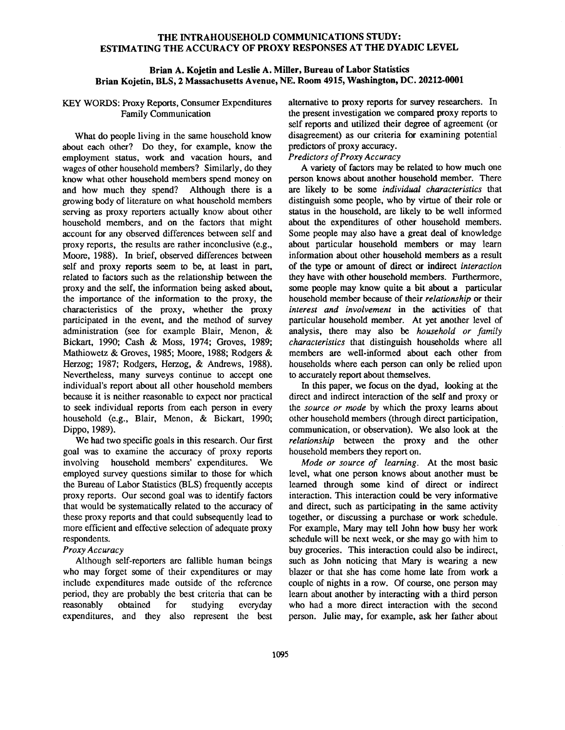### THE INTRAHOUSEHOLD COMMUNICATIONS STUDY: ESTIMATING THE ACCURACY OF PROXY RESPONSES AT THE DYADIC LEVEL

### **Brian A. Kojetin and Leslie A. Miller, Bureau of Labor Statistics Brian Kojetin, BLS, 2 Massachusetts Avenue, NE. Room 4915, Washington, DC. 20212-0001**

### KEY WORDS: Proxy Reports, Consumer Expenditures Family Communication

What do people living in the same household know about each other? Do they, for example, know the employment status, work and vacation hours, and wages of other household members? Similarly, do they know what other household members spend money on<br>and how much they spend? Although there is a and how much they spend? growing body of literature on what household members serving as proxy reporters actually know about other household members, and on the factors that might account for any observed differences between self and proxy reports, the results are rather inconclusive (e.g., Moore, 1988). In brief, observed differences between self and proxy reports seem to be, at least in part, related to factors such as the relationship between the proxy and the self, the information being asked about, the importance of the information to the proxy, the characteristics of the proxy, whether the proxy participated in the event, and the method of survey administration (see for example Blair, Menon, & Bickart, 1990; Cash & Moss, 1974; Groves, 1989; Mathiowetz & Groves, 1985; Moore, 1988; Rodgers & Herzog; 1987; Rodgers, Herzog, & Andrews, 1988). Nevertheless, many surveys continue to accept one individual's report about all other household members because it is neither reasonable to expect nor practical to seek individual reports from each person in every household (e.g., Blair, Menon, & Bickart, 1990; Dippo, 1989).

We had two specific goals in this research. Our first goal was to examine the accuracy of proxy reports involving household members' expenditures. We employed survey questions similar to those for which the Bureau of Labor Statistics (BLS) frequently accepts proxy reports. Our second goal was to identify factors that would be systematically related to the accuracy of these proxy reports and that could subsequently lead to more efficient and effective selection of adequate proxy respondents.

## *Proxy Accuracy*

Although self-reporters are fallible human beings who may forget some of their expenditures or may include expenditures made outside of the reference period, they are probably the best criteria that can be reasonably obtained for studying everyday expenditures, and they also represent the best alternative to proxy reports for survey researchers. In the present investigation we compared proxy reports to self reports and utilized their degree of agreement (or disagreement) as our criteria for examining potential predictors of proxy accuracy.

## *Predictors of Proxy Accuracy*

A variety of factors may be related to how much one person knows about another household member. There are likely to be some *individual characteristics* that distinguish some people, who by virtue of their role or status in the household, are likely to be well informed about the expenditures of other household members. Some people may also have a great deal of knowledge about particular household members or may learn information about other household members as a result of the type or amount of direct or indirect *interaction*  they have with other household members. Furthermore, some people may know quite a bit about a particular household member because of their *relationship* or their *interest and involvement* in the activities of that particular household member. At yet another level of analysis, there may also be *household or family characteristics* that distinguish households where all members are well-informed about each other from households where each person can only be relied upon to accurately report about themselves.

In this paper, we focus on the dyad, looking at the direct and indirect interaction of the self and proxy or *the source or mode* by which the proxy learns about other household members (through direct participation, communication, or observation). We also look at the *relationship* between the proxy and the other household members they report on.

*Mode or source of learning.* At the most basic level, what one person knows about another must be learned through some kind of direct or indirect interaction. This interaction could be very informative and direct, such as participating in the same activity together, or discussing a purchase or work schedule. For example, Mary may tell John how busy her work schedule will be next week, or she may go with him to buy groceries. This interaction could also be indirect, such as John noticing that Mary **is** wearing a new blazer or that she has come home late from work a couple of nights in a row. Of course, one person may learn about another by interacting with a third person who had a more direct interaction with the second person. Julie may, for example, ask her father about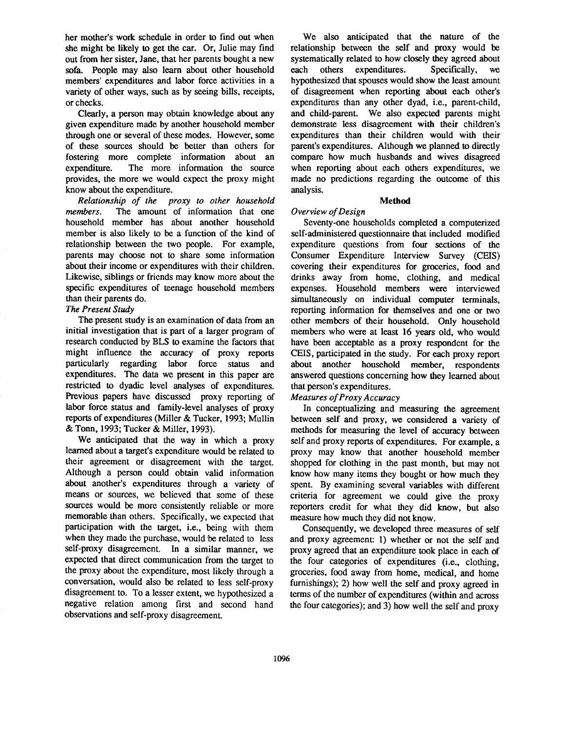her mother's work schedule in order to find out when she might be likely to get the car. Or, Julie may find out from her sister, Jane, that her parents bought a new sofa. People may also learn about other household members' expenditures and labor force activities in a variety of other ways, such as by seeing bills, receipts, or checks.

Clearly, a person may obtain knowledge about any given expenditure made by another household member through one or several of these modes. However, some of these sources should be better than others for fostering more complete information about an expenditure. The more information the source provides, the more we would expect the proxy might know about the expenditure.

*Relationship of the proxy to other household members.* The amount of information that one household member has about another household member is also likely to be a function of the kind of relationship between the two people. For example, parents may choose not to share some information about their income or expenditures with their children. Likewise, siblings or friends may know more about the specific expenditures of teenage household members than their parents do.

## *The Present Study*

The present study is an examination of data from an initial investigation that is part of a larger program of research conducted by BLS to examine the factors that might influence the accuracy of proxy reports particularly regarding labor force status and expenditures. The data we present in this paper are restricted to dyadic level analyses of expenditures. Previous papers have discussed proxy reporting of labor force status and family-level analyses of proxy reports of expenditures (Miller & Tucker, 1993; Mullin & Tonn, 1993; Tucker & Miller, 1993).

We anticipated that the way in which a proxy learned about a target's expenditure would be related to their agreement or disagreement with the target. Although a person could obtain valid information about another's expenditures through a variety of means or sources, we believed that some of these sources would be more consistently reliable or more memorable than others. Specifically, we expected that participation with the target, i.e., being with them when they made the purchase, would be related to less self-proxy disagreement. In a similar manner, we expected that direct communication from the target to the proxy about the expenditure, most likely through a conversation, would also be related to less self-proxy disagreement to. To a lesser extent, we hypothesized a negative relation among first and second hand observations and self-proxy disagreement.

We also anticipated that the nature of the relationship between the self and proxy would be systematically related to how closely they agreed about each others expenditures. Specifically, we hypothesized that spouses would show the least amount of disagreement when reporting about each other's expenditures than any other dyad, i.e., parent-child, and child-parent. We also expected parents might demonstrate less disagreement with their children's expenditures than their children would with their parent's expenditures. Although we planned to directly compare how much husbands and wives disagreed when reporting about each others expenditures, we made no predictions regarding the outcome of this analysis.

## Method

# *Overview of Design*

Seventy-one households completed a computerized self-administered questionnaire that included modified expenditure questions from four sections of the Consumer Expenditure Interview Survey (CEIS) covering their expenditures for groceries, food and drinks away from home, clothing, and medical expenses. Household members were interviewed simultaneously on individual computer terminals, reporting information for themselves and one or two other members of their household. Only household members who were at least 16 years old, who would have been acceptable as a proxy respondent for the CEIS, participated in the study. For each proxy report about another household member, respondents answered questions concerning how they learned about that person's expenditures.

# *Measures of Proxy Accuracy*

In conceptualizing and measuring the agreement between self and proxy, we considered a variety of methods for measuring the level of accuracy between self and proxy reports of expenditures. For example, a proxy may know that another household member shopped for clothing in the past month, but may not know how many items they bought or how much they spent. By examining several variables with different criteria for agreement we could give the proxy reporters credit for what they did know, but also measure how much they did not know.

Consequently, we developed three measures of self and proxy agreement: 1) whether or not the self and proxy agreed that an expenditure took place in each of the four categories of expenditures (i.e., clothing, groceries, food away from home, medical, and home furnishings); 2) how well the self and proxy agreed in terms of the number of expenditures (within and across the four categories); and 3) how well the self and proxy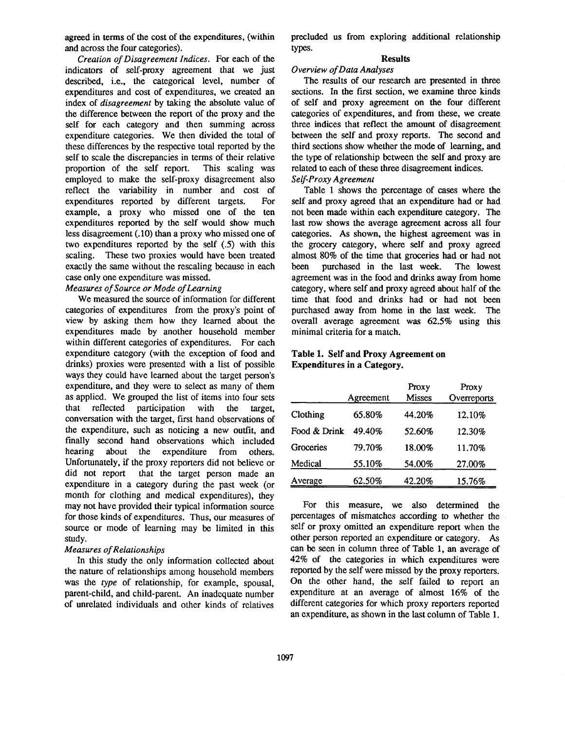agreed in terms of the cost of the expenditures, (within and across the four categories).

*Creation of Disagreement Indices.* For each of the indicators of self-proxy agreement that we just described, i.e., the categorical level, number of expenditures and cost of expenditures, we created an index of *disagreement* by taking the absolute value of the difference between the report of the proxy and the self for each category and then summing across expenditure categories. We then divided the total of these differences by the respective total reported by the self to scale the discrepancies in terms of their relative proportion of the self report. This scaling was employed to make the self-proxy disagreement also reflect the variability in number and cost of expenditures reported by different targets. For example, a proxy who missed one of the ten expenditures reported by the self would show much less disagreement (.10) than a proxy who missed one of two expenditures reported by the self (.5) with this scaling. These two proxies would have been treated exactly the same without the rescaling because in each case only one expenditure was missed.

## *Measures of Source or Mode of Learning*

We measured the source of information for different categories of expenditures from the proxy's point of view by asking them how they learned about the expenditures made by another household member within different categories of expenditures. For each expenditure category (with the exception of food and drinks) proxies were presented with a list of possible ways they could have learned about the target person's expenditure, and they were to select as many of them as applied. We grouped the list of items into four sets that reflected participation with the target, conversation with the target, first hand observations of the expenditure, such as noticing a new outfit, and finally second hand observations which included hearing about the expenditure from others. Unfortunately, if the proxy reporters did not believe or did not report that the target person made an that the target person made an expenditure in a category during the past week (or month for clothing and medical expenditures), they may not have provided their typical information source for those kinds of expenditures. Thus, our measures of source or mode of learning may be limited in this study.

#### *Measures of Relationships*

In this study the only information collected about the nature of relationships among household members *was the type* of relationship, for example, spousal, parent-child, and child-parent. An inadequate number of unrelated individuals and other kinds of relatives

precluded us from exploring additional relationship types.

## **Results**

#### *Overview of Data Analyses*

The results of our research are presented in three sections. In the first section, we examine three kinds of self and proxy agreement on the four different categories of expenditures, and from these, we create three indices that reflect the amount of disagreement between the self and proxy reports. The second and third sections show whether the mode of learning, and the type of relationship between the self and proxy are related to each of these three disagreement indices. *Self-Proxy Agreement* 

Table 1 shows the percentage of cases where the self and proxy agreed that an expenditure had or had not been made within each expenditure category. The last row shows the average agreement across all four categories. As shown, the highest agreement was in the grocery category, where self and proxy agreed almost 80% of the time that groceries had or had not been purchased in the last week. The lowest agreement was in the food and drinks away from home category, where self and proxy agreed about half of the time that food and drinks had or had not been purchased away from home in the last week. The overall average agreement was 62.5% using this minimal criteria for a match.

## **Table 1. Self and Proxy Agreement on Expenditures in a Category.**

|              | Agreement | Proxy<br><b>Misses</b> | Proxy<br>Overreports |
|--------------|-----------|------------------------|----------------------|
| Clothing     | 65.80%    | 44.20%                 | 12.10%               |
| Food & Drink | 49.40%    | 52.60%                 | 12.30%               |
| Groceries    | 79.70%    | 18.00%                 | 11.70%               |
| Medical      | 55.10%    | 54.00%                 | 27.00%               |
| Average      | 62.50%    | 42.20%                 | 15.76%               |

For this measure, we also determined the percentages of mismatches according to whether the self or proxy omitted an expenditure report when the other person reported an expenditure or category. As can be seen in column three of Table 1, an average of 42% of the categories in which expenditures were reported by the self were missed by the proxy reporters. On the other hand, the self failed to report an expenditure at an average of almost 16% of the different categories for which proxy reporters reported an expenditure, as shown in the last column of Table 1.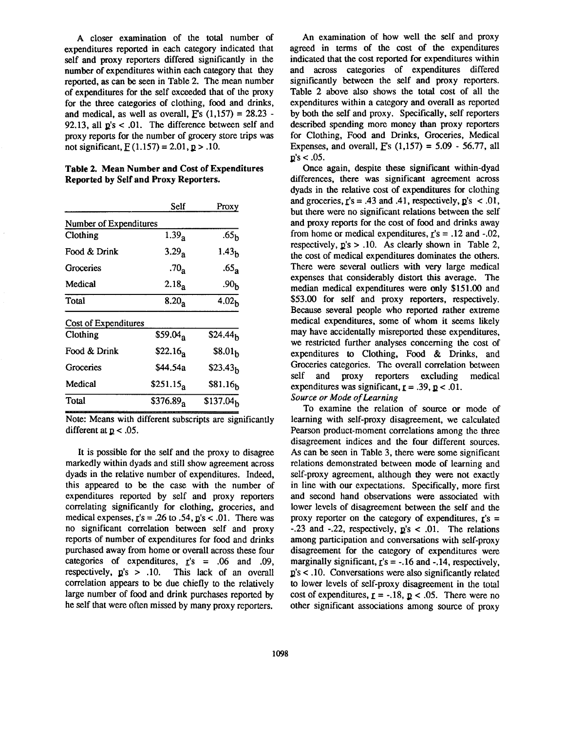A closer examination of the total number of expenditures reported in each category indicated that self and proxy reporters differed significantly in the number of expenditures within each category that they reported, as can be seen in Table 2. The mean number of expenditures for the self exceeded that of the proxy for the three categories of clothing, food and drinks, and medical, as well as overall,  $F_s$  (1,157) = 28.23 -92.13, all  $p's < 0.01$ . The difference between self and proxy reports for the number of grocery store trips was not significant,  $F(1.157) = 2.01, p > .10$ .

**Table 2. Mean Number and Cost of Expenditures Reported by Self and Proxy Reporters.** 

|                        | Self                 | Proxy                 |  |  |
|------------------------|----------------------|-----------------------|--|--|
| Number of Expenditures |                      |                       |  |  |
| Clothing               | 1.39 <sub>a</sub>    | .65 <sub>h</sub>      |  |  |
| Food & Drink           | 3.29 <sub>a</sub>    | 1.43 <sub>h</sub>     |  |  |
| Groceries              | .70 <sub>a</sub>     | .65 <sub>a</sub>      |  |  |
| Medical                | 2.18 <sub>a</sub>    | .90 <sub>Խ</sub>      |  |  |
| Total                  | 8.20 <sub>a</sub>    | 4.02 <sub>h</sub>     |  |  |
| Cost of Expenditures   |                      |                       |  |  |
| Clothing               | $$59.04_{\text{a}}$  | \$24.44 <sub>h</sub>  |  |  |
| Food & Drink           | $$22.16_{\text{a}}$$ | \$8.01 <sub>h</sub>   |  |  |
| Groceries              | \$44.54a             | \$23.43 <sub>h</sub>  |  |  |
| Medical                | $$251.15_a$          | \$81.16 <sub>h</sub>  |  |  |
| Total                  | $$376.89_{a}$        | \$137.04 <sub>b</sub> |  |  |

Note: Means with different subscripts are significantly different at  $p < .05$ .

It is possible for the self and the proxy to disagree markedly within dyads and still show agreement across dyads in the relative number of expenditures. Indeed, this appeared to be the case with the number of expenditures reported by self and proxy reporters correlating significantly for clothing, groceries, and medical expenses,  $\mathbf{r}'s = .26$  to  $.54$ ,  $\mathbf{p}'s < .01$ . There was no significant correlation between self and proxy reports of number of expenditures for food and drinks purchased away from home or overall across these four categories of expenditures,  $r/s = .06$  and .09, respectively,  $p's > .10$ . This lack of an overall correlation appears to be due chiefly to the relatively large number of food and drink purchases reported by he self that were often missed by many proxy reporters.

An examination of how well the self and proxy agreed in terms of the cost of the expenditures indicated that the cost reported for expenditures within and across categories of expenditures differed significantly between the self and proxy reporters. Table 2 above also shows the total cost of all the expenditures within a category and overall as reported by both the self and proxy. Specifically, self reporters described spending more money than proxy reporters for Clothing, Food and Drinks, Groceries, Medical Expenses, and overall,  $F's$  (1,157) = 5.09 - 56.77, all  $p's < .05.$ 

Once again, despite these significant within-dyad differences, there was significant agreement across dyads in the relative cost of expenditures for clothing and groceries,  $r's = .43$  and  $.41$ , respectively,  $p's < .01$ , but there were no significant relations between the self and proxy reports for the cost of food and drinks away from home or medical expenditures,  $r's = .12$  and  $-.02$ , respectively,  $p's > .10$ . As clearly shown in Table 2, the cost of medical expenditures dominates the others. There were several outliers with very large medical expenses that considerably distort this average. The median medical expenditures were only \$151.00 and \$53.00 for self and proxy reporters, respectively. Because several people who reported rather extreme medical expenditures, some of whom it seems likely may have accidentally misreported these expenditures, we restricted further analyses concerning the cost of expenditures to Clothing, Food & Drinks, and Groceries categories. The overall correlation between self and proxy reporters excluding medical expenditures was significant,  $r = .39$ ,  $p < .01$ . *Source or Mode of Learning* 

To examine the relation of source or mode of learning with self-proxy disagreement, we calculated Pearson product-moment correlations among the three disagreement indices and the four different sources. As can be seen in Table 3, there were some significant relations demonstrated between mode of learning and self-proxy agreement, although they were not exactly in line with our expectations. Specifically, more first and second hand observations were associated with lower levels of disagreement between the self and the proxy reporter on the category of expenditures,  $r's =$  $-0.23$  and  $-0.22$ , respectively,  $p/s < 0.01$ . The relations among participation and conversations with self-proxy disagreement for the category of expenditures were marginally significant,  $r's = -.16$  and  $-.14$ , respectively,  $p's < .10$ . Conversations were also significantly related to lower levels of self-proxy disagreement in the total cost of expenditures,  $r = -.18$ ,  $p < .05$ . There were no other significant associations among source of proxy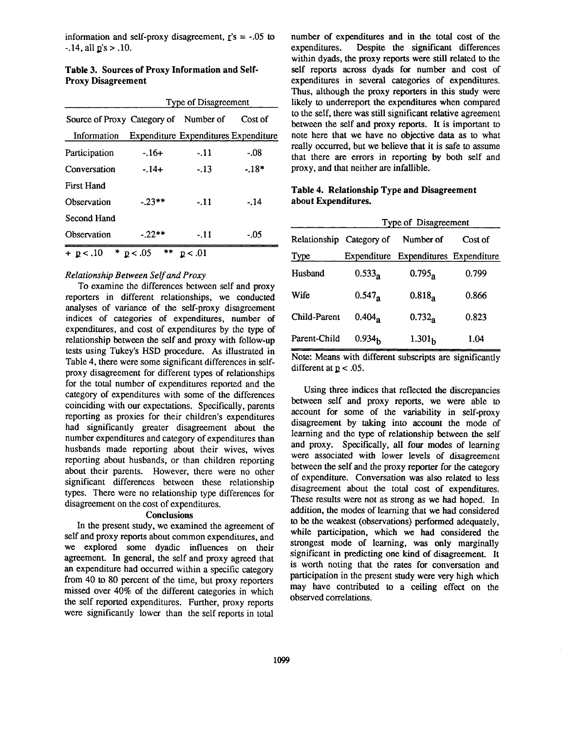information and self-proxy disagreement,  $\mathbf{r}'s = -0.05$  to  $-14$ , all  $p's > 0.10$ .

| Table 3. Sources of Proxy Information and Self- |  |
|-------------------------------------------------|--|
| <b>Proxy Disagreement</b>                       |  |

|                                       | <b>Type of Disagreement</b> |                                      |         |
|---------------------------------------|-----------------------------|--------------------------------------|---------|
| Source of Proxy Category of Number of |                             |                                      | Cost of |
| Information                           |                             | Expenditure Expenditures Expenditure |         |
| Participation                         | $-16+$                      | $-11$                                | -.08    |
| Conversation                          | - 14+                       | $-13$                                | $-18*$  |
| <b>First Hand</b>                     |                             |                                      |         |
| Observation                           | $-23**$                     | $-11$                                | $-14$   |
| Second Hand                           |                             |                                      |         |
| Observation                           | $-22**$                     | - 11                                 | - 05    |
| + p<.10                               | **<br>* $p < .05$           | p < .01                              |         |

### *Relationship Between Self and Proxy*

To examine the differences between self and proxy reporters in different relationships, we conducted analyses of variance of the self-proxy disagreement indices of categories of expenditures, number of expenditures, and cost of expenditures by the type of relationship between the self and proxy with follow-up tests using Tukey's HSD procedure. As illustrated in Table 4, there were some significant differences in selfproxy disagreement for different types of relationships for the total number of expenditures reported and the category of expenditures with some of the differences coinciding with our expectations. Specifically, parents reporting as proxies for their children's expenditures had significantly greater disagreement about the number expenditures and category of expenditures than husbands made reporting about their wives, wives reporting about husbands, or than children reporting about their parents. However, there were no other significant differences between these relationship types. There were no relationship type differences for disagreement on the cost of expenditures.

#### **Conclusions**

In the present study, we examined the agreement of self and proxy reports about common expenditures, and we explored some dyadic influences on their agreement. In general, the self and proxy agreed that an expenditure had occurred within a specific category from 40 to 80 percent of the time, but proxy reporters missed over 40% of the different categories in which the self reported expenditures. Further, proxy reports were significantly lower than the self reports in total

number of expenditures and in the total cost of the expenditures. Despite the significant differences within dyads, the proxy reports were still related to the self reports across dyads for number and cost of expenditures in several categories of expenditures. Thus, although the proxy reporters in this study were likely to underreport the expenditures when compared to the self, there was still significant relative agreement between the self and proxy reports. It is important to note here that we have no objective data as to what really occurred, but we believe that it is safe to assume that there are errors in reporting by both self and proxy, and that neither are infallible.

## **Table 4. Relationship Type and Disagreement about Expenditures.**

| Relationship Category of | <b>Type of Disagreement</b> |                                      |         |  |
|--------------------------|-----------------------------|--------------------------------------|---------|--|
|                          |                             | Number of                            | Cost of |  |
| Type                     |                             | Expenditure Expenditures Expenditure |         |  |
| Husband                  | $0.533_a$                   | $0.795_{\rm a}$                      | 0.799   |  |
| Wife                     | $0.547_{\rm a}$             | 0.818 <sub>a</sub>                   | 0.866   |  |
| Child-Parent             | $0.404_a$                   | $0.732_a$                            | 0.823   |  |
| Parent-Child             | 0.934 <sub>h</sub>          | 1.301 <sub>h</sub>                   | 1.04    |  |

Note: Means with different subscripts are significantly different at  $p < .05$ .

Using three indices that reflected the discrepancies between self and proxy reports, we were able to account for some of the variability in self-proxy disagreement by taking into account the mode of learning and the type of relationship between the self and proxy. Specifically, all four modes of learning were associated with lower levels of disagreement between the self and the proxy reporter for the category of expenditure. Conversation was also related to less disagreement about the total cost of expenditures. These results were not as strong as we had hoped. In addition, the modes of learning that we had considered to be the weakest (observations) performed adequately, while participation, which we had considered the strongest mode of learning, was only marginally significant in predicting one kind of disagreement. It is worth noting that the rates for conversation and participation in the present study were very high which may have contributed to a ceiling effect on the observed correlations.